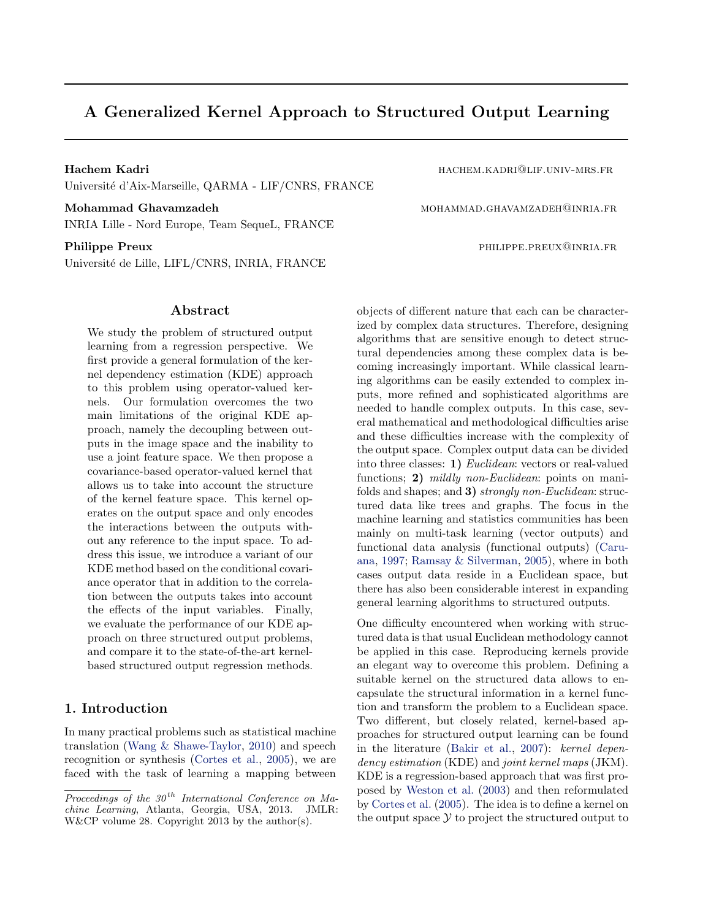# A Generalized Kernel Approach to Structured Output Learning

Hachem Kadri hachem.kadri@lif.univ-mrs.fr Universit´e d'Aix-Marseille, QARMA - LIF/CNRS, FRANCE

Mohammad Ghavamzadeh mohammad Ghavamzadeh mohammad.ghavamzadeh INRIA Lille - Nord Europe, Team SequeL, FRANCE

Université de Lille, LIFL/CNRS, INRIA, FRANCE

#### Abstract

We study the problem of structured output learning from a regression perspective. We first provide a general formulation of the kernel dependency estimation (KDE) approach to this problem using operator-valued kernels. Our formulation overcomes the two main limitations of the original KDE approach, namely the decoupling between outputs in the image space and the inability to use a joint feature space. We then propose a covariance-based operator-valued kernel that allows us to take into account the structure of the kernel feature space. This kernel operates on the output space and only encodes the interactions between the outputs without any reference to the input space. To address this issue, we introduce a variant of our KDE method based on the conditional covariance operator that in addition to the correlation between the outputs takes into account the effects of the input variables. Finally, we evaluate the performance of our KDE approach on three structured output problems, and compare it to the state-of-the-art kernelbased structured output regression methods.

## 1. Introduction

In many practical problems such as statistical machine translation [\(Wang & Shawe-Taylor,](#page-8-0) [2010\)](#page-8-0) and speech recognition or synthesis [\(Cortes et al.,](#page-8-0) [2005\)](#page-8-0), we are faced with the task of learning a mapping between

Philippe Preux **philippe.preux** philippe.preux@inria.fr

objects of different nature that each can be characterized by complex data structures. Therefore, designing algorithms that are sensitive enough to detect structural dependencies among these complex data is becoming increasingly important. While classical learning algorithms can be easily extended to complex inputs, more refined and sophisticated algorithms are needed to handle complex outputs. In this case, several mathematical and methodological difficulties arise and these difficulties increase with the complexity of the output space. Complex output data can be divided into three classes: 1) Euclidean: vectors or real-valued functions; 2) mildly non-Euclidean: points on manifolds and shapes; and 3) strongly non-Euclidean: structured data like trees and graphs. The focus in the machine learning and statistics communities has been mainly on multi-task learning (vector outputs) and functional data analysis (functional outputs) [\(Caru](#page-8-0)[ana,](#page-8-0) [1997;](#page-8-0) [Ramsay & Silverman,](#page-8-0) [2005\)](#page-8-0), where in both cases output data reside in a Euclidean space, but there has also been considerable interest in expanding general learning algorithms to structured outputs.

One difficulty encountered when working with structured data is that usual Euclidean methodology cannot be applied in this case. Reproducing kernels provide an elegant way to overcome this problem. Defining a suitable kernel on the structured data allows to encapsulate the structural information in a kernel function and transform the problem to a Euclidean space. Two different, but closely related, kernel-based approaches for structured output learning can be found in the literature [\(Bakir et al.,](#page-8-0) [2007\)](#page-8-0): kernel dependency estimation (KDE) and joint kernel maps (JKM). KDE is a regression-based approach that was first proposed by [Weston et al.](#page-8-0) [\(2003\)](#page-8-0) and then reformulated by [Cortes et al.](#page-8-0) [\(2005\)](#page-8-0). The idea is to define a kernel on the output space  $\mathcal Y$  to project the structured output to

Proceedings of the  $30<sup>th</sup>$  International Conference on Machine Learning, Atlanta, Georgia, USA, 2013. JMLR: W&CP volume 28. Copyright 2013 by the author(s).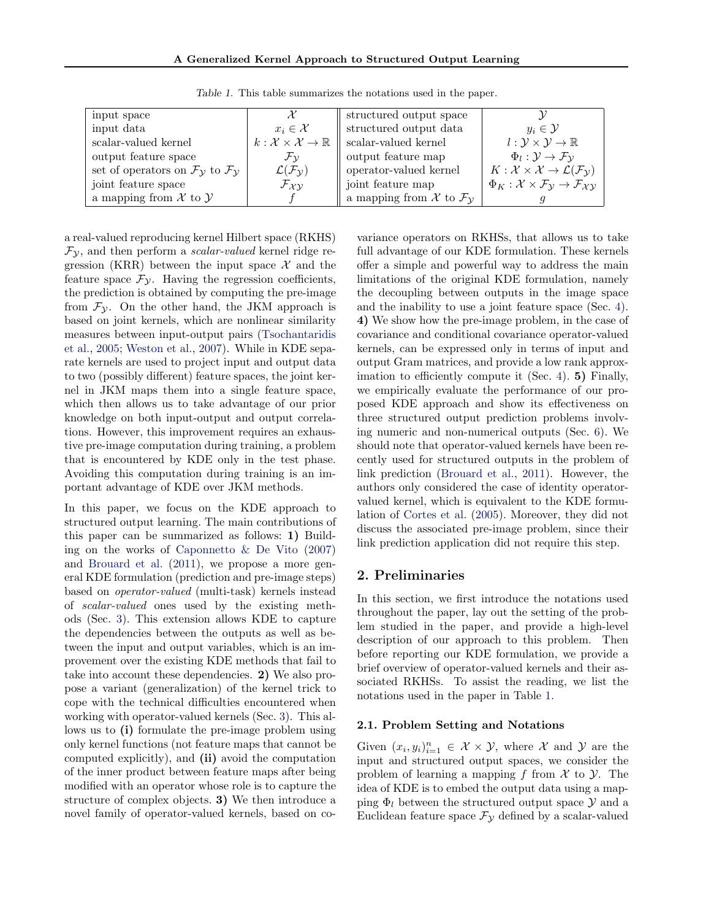| input space                                                                    |                                                       | structured output space                         |                                                                                                |
|--------------------------------------------------------------------------------|-------------------------------------------------------|-------------------------------------------------|------------------------------------------------------------------------------------------------|
| input data                                                                     | $x_i \in \mathcal{X}$                                 | structured output data                          | $y_i \in \mathcal{Y}$                                                                          |
| scalar-valued kernel                                                           | $k:\mathcal{X}\times\mathcal{X}\rightarrow\mathbb{R}$ | scalar-valued kernel                            | $l: \mathcal{Y} \times \mathcal{Y} \rightarrow \mathbb{R}$                                     |
| output feature space                                                           | $\mathcal{F}_{\mathcal{V}}$                           | output feature map                              | $\Phi_l: \mathcal{Y} \to \mathcal{F}_{\mathcal{Y}}$                                            |
| set of operators on $\mathcal{F}_{\mathcal{V}}$ to $\mathcal{F}_{\mathcal{V}}$ | $\mathcal{L}(\mathcal{F}_{\mathcal{Y}})$              | operator-valued kernel                          | $K: \mathcal{X} \times \mathcal{X} \to \mathcal{L}(\mathcal{F}_{\mathcal{Y}})$                 |
| joint feature space                                                            | $\mathcal{F}_{XY}$                                    | joint feature map                               | $\Phi_K : \mathcal{X} \times \mathcal{F}_\mathcal{Y} \to \mathcal{F}_{\mathcal{X}\mathcal{Y}}$ |
| a mapping from $\mathcal X$ to $\mathcal Y$                                    |                                                       | a mapping from X to $\mathcal{F}_{\mathcal{V}}$ |                                                                                                |

Table 1. This table summarizes the notations used in the paper.

a real-valued reproducing kernel Hilbert space (RKHS)  $\mathcal{F}_{\mathcal{Y}}$ , and then perform a *scalar-valued* kernel ridge regression (KRR) between the input space  $\mathcal{X}$  and the feature space  $\mathcal{F}_{\mathcal{Y}}$ . Having the regression coefficients, the prediction is obtained by computing the pre-image from  $\mathcal{F}_{\mathcal{Y}}$ . On the other hand, the JKM approach is based on joint kernels, which are nonlinear similarity measures between input-output pairs [\(Tsochantaridis](#page-8-0) [et al.,](#page-8-0) [2005;](#page-8-0) [Weston et al.,](#page-8-0) [2007\)](#page-8-0). While in KDE separate kernels are used to project input and output data to two (possibly different) feature spaces, the joint kernel in JKM maps them into a single feature space, which then allows us to take advantage of our prior knowledge on both input-output and output correlations. However, this improvement requires an exhaustive pre-image computation during training, a problem that is encountered by KDE only in the test phase. Avoiding this computation during training is an important advantage of KDE over JKM methods.

In this paper, we focus on the KDE approach to structured output learning. The main contributions of this paper can be summarized as follows: 1) Building on the works of [Caponnetto & De Vito](#page-8-0) [\(2007\)](#page-8-0) and [Brouard et al.](#page-8-0) [\(2011\)](#page-8-0), we propose a more general KDE formulation (prediction and pre-image steps) based on operator-valued (multi-task) kernels instead of scalar-valued ones used by the existing methods (Sec. [3\)](#page-2-0). This extension allows KDE to capture the dependencies between the outputs as well as between the input and output variables, which is an improvement over the existing KDE methods that fail to take into account these dependencies. 2) We also propose a variant (generalization) of the kernel trick to cope with the technical difficulties encountered when working with operator-valued kernels (Sec. [3\)](#page-2-0). This allows us to (i) formulate the pre-image problem using only kernel functions (not feature maps that cannot be computed explicitly), and (ii) avoid the computation of the inner product between feature maps after being modified with an operator whose role is to capture the structure of complex objects. 3) We then introduce a novel family of operator-valued kernels, based on co-

variance operators on RKHSs, that allows us to take full advantage of our KDE formulation. These kernels offer a simple and powerful way to address the main limitations of the original KDE formulation, namely the decoupling between outputs in the image space and the inability to use a joint feature space (Sec. [4\)](#page-3-0). 4) We show how the pre-image problem, in the case of covariance and conditional covariance operator-valued kernels, can be expressed only in terms of input and output Gram matrices, and provide a low rank approximation to efficiently compute it (Sec. [4\)](#page-3-0). 5) Finally, we empirically evaluate the performance of our proposed KDE approach and show its effectiveness on three structured output prediction problems involving numeric and non-numerical outputs (Sec. [6\)](#page-5-0). We should note that operator-valued kernels have been recently used for structured outputs in the problem of link prediction [\(Brouard et al.,](#page-8-0) [2011\)](#page-8-0). However, the authors only considered the case of identity operatorvalued kernel, which is equivalent to the KDE formulation of [Cortes et al.](#page-8-0) [\(2005\)](#page-8-0). Moreover, they did not discuss the associated pre-image problem, since their link prediction application did not require this step.

### 2. Preliminaries

In this section, we first introduce the notations used throughout the paper, lay out the setting of the problem studied in the paper, and provide a high-level description of our approach to this problem. Then before reporting our KDE formulation, we provide a brief overview of operator-valued kernels and their associated RKHSs. To assist the reading, we list the notations used in the paper in Table 1.

#### 2.1. Problem Setting and Notations

Given  $(x_i, y_i)_{i=1}^n \in \mathcal{X} \times \mathcal{Y}$ , where X and Y are the input and structured output spaces, we consider the problem of learning a mapping f from  $\mathcal X$  to  $\mathcal Y$ . The idea of KDE is to embed the output data using a mapping  $\Phi_l$  between the structured output space  $\mathcal Y$  and a Euclidean feature space  $\mathcal{F}_{\mathcal{Y}}$  defined by a scalar-valued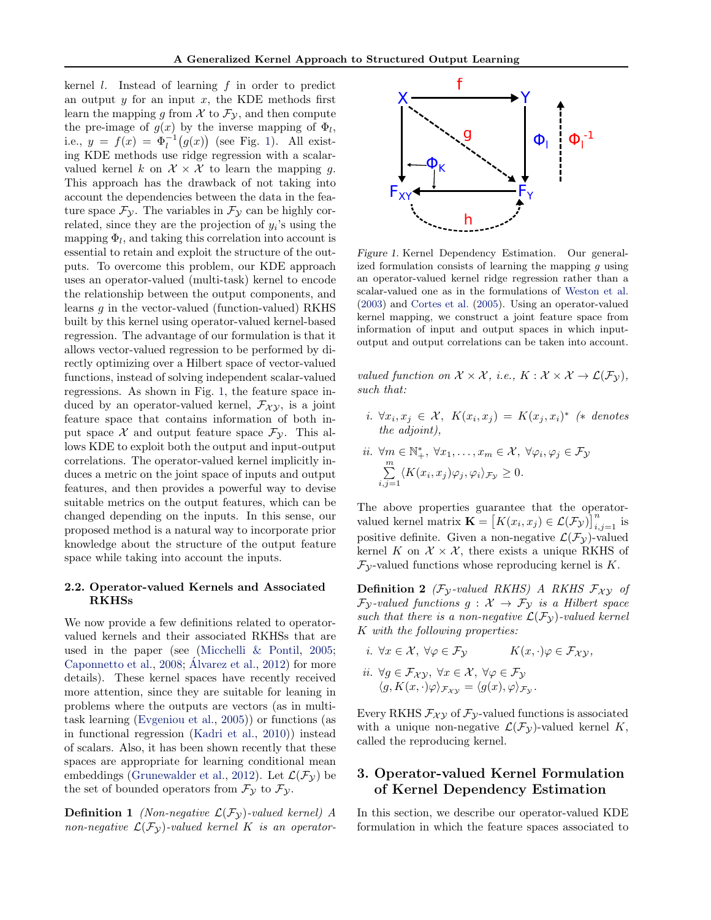<span id="page-2-0"></span>kernel  $l$ . Instead of learning  $f$  in order to predict an output  $y$  for an input  $x$ , the KDE methods first learn the mapping g from  $\mathcal X$  to  $\mathcal F_{\mathcal Y}$ , and then compute the pre-image of  $g(x)$  by the inverse mapping of  $\Phi_l$ , i.e.,  $y = f(x) = \Phi_l^{-1}(g(x))$  (see Fig. 1). All existing KDE methods use ridge regression with a scalarvalued kernel k on  $\mathcal{X} \times \mathcal{X}$  to learn the mapping g. This approach has the drawback of not taking into account the dependencies between the data in the feature space  $\mathcal{F}_{\mathcal{Y}}$ . The variables in  $\mathcal{F}_{\mathcal{Y}}$  can be highly correlated, since they are the projection of  $y_i$ 's using the mapping  $\Phi_l$ , and taking this correlation into account is essential to retain and exploit the structure of the outputs. To overcome this problem, our KDE approach uses an operator-valued (multi-task) kernel to encode the relationship between the output components, and learns  $g$  in the vector-valued (function-valued) RKHS built by this kernel using operator-valued kernel-based regression. The advantage of our formulation is that it allows vector-valued regression to be performed by directly optimizing over a Hilbert space of vector-valued functions, instead of solving independent scalar-valued regressions. As shown in Fig. 1, the feature space induced by an operator-valued kernel,  $\mathcal{F}_{\chi\chi}$ , is a joint feature space that contains information of both input space  $\mathcal X$  and output feature space  $\mathcal F_{\mathcal Y}$ . This allows KDE to exploit both the output and input-output correlations. The operator-valued kernel implicitly induces a metric on the joint space of inputs and output features, and then provides a powerful way to devise suitable metrics on the output features, which can be changed depending on the inputs. In this sense, our proposed method is a natural way to incorporate prior knowledge about the structure of the output feature space while taking into account the inputs.

### 2.2. Operator-valued Kernels and Associated RKHSs

We now provide a few definitions related to operatorvalued kernels and their associated RKHSs that are used in the paper (see [\(Micchelli & Pontil,](#page-8-0) [2005;](#page-8-0) [Caponnetto et al.,](#page-8-0)  $2008$ ; Álvarez et al.,  $2012$ ) for more details). These kernel spaces have recently received more attention, since they are suitable for leaning in problems where the outputs are vectors (as in multitask learning [\(Evgeniou et al.,](#page-8-0) [2005\)](#page-8-0)) or functions (as in functional regression [\(Kadri et al.,](#page-8-0) [2010\)](#page-8-0)) instead of scalars. Also, it has been shown recently that these spaces are appropriate for learning conditional mean embeddings [\(Grunewalder et al.,](#page-8-0) [2012\)](#page-8-0). Let  $\mathcal{L}(\mathcal{F}_{\mathcal{V}})$  be the set of bounded operators from  $\mathcal{F}_{\mathcal{Y}}$  to  $\mathcal{F}_{\mathcal{Y}}$ .

**Definition 1** (Non-negative  $\mathcal{L}(\mathcal{F}_{\mathcal{V}})$ -valued kernel) A non-negative  $\mathcal{L}(\mathcal{F}_{\mathcal{V}})$ -valued kernel K is an operator-



Figure 1. Kernel Dependency Estimation. Our generalized formulation consists of learning the mapping  $q$  using an operator-valued kernel ridge regression rather than a scalar-valued one as in the formulations of [Weston et al.](#page-8-0) [\(2003\)](#page-8-0) and [Cortes et al.](#page-8-0) [\(2005\)](#page-8-0). Using an operator-valued kernel mapping, we construct a joint feature space from information of input and output spaces in which inputoutput and output correlations can be taken into account.

valued function on  $\mathcal{X} \times \mathcal{X}$ , i.e.,  $K : \mathcal{X} \times \mathcal{X} \to \mathcal{L}(\mathcal{F}_{\mathcal{V}})$ , such that:

- i.  $\forall x_i, x_j \in \mathcal{X}, K(x_i, x_j) = K(x_j, x_i)^*$  (\* denotes the adjoint).
- ii.  $\forall m \in \mathbb{N}_+^*, \ \forall x_1, \ldots, x_m \in \mathcal{X}, \ \forall \varphi_i, \varphi_j \in \mathcal{F}_{\mathcal{Y}}$  $\sum_{i=1}^{m}$  $\sum_{i,j=1} \langle K(x_i, x_j) \varphi_j, \varphi_i \rangle_{\mathcal{F}_{\mathcal{Y}}} \geq 0.$

The above properties guarantee that the operatorvalued kernel matrix  $\mathbf{K} = [K(x_i, x_j) \in \mathcal{L}(\mathcal{F}_{\mathcal{Y}})]_{i,j=1}^n$  is positive definite. Given a non-negative  $\mathcal{L}(\mathcal{F}_{\mathcal{V}})$ -valued kernel K on  $\mathcal{X} \times \mathcal{X}$ , there exists a unique RKHS of  $\mathcal{F}_{\mathcal{Y}}$ -valued functions whose reproducing kernel is K.

**Definition 2** ( $\mathcal{F}_{\mathcal{Y}}$ -valued RKHS) A RKHS  $\mathcal{F}_{\mathcal{XY}}$  of  $\mathcal{F}_{\mathcal{V}}$ -valued functions  $g: \mathcal{X} \to \mathcal{F}_{\mathcal{V}}$  is a Hilbert space such that there is a non-negative  $\mathcal{L}(\mathcal{F}_{\mathcal{V}})$ -valued kernel K with the following properties:

i. 
$$
\forall x \in \mathcal{X}, \forall \varphi \in \mathcal{F}_{\mathcal{Y}}
$$
  
\nii.  $\forall g \in \mathcal{F}_{\mathcal{X}\mathcal{Y}}, \forall x \in \mathcal{X}, \forall \varphi \in \mathcal{F}_{\mathcal{Y}}$   
\n $\langle g, K(x, \cdot) \varphi \rangle_{\mathcal{F}_{\mathcal{X}\mathcal{Y}}} = \langle g(x), \varphi \rangle_{\mathcal{F}_{\mathcal{Y}}}.$ 

Every RKHS  $\mathcal{F}_{\chi\gamma}$  of  $\mathcal{F}_{\gamma}$ -valued functions is associated with a unique non-negative  $\mathcal{L}(\mathcal{F}_{\mathcal{Y}})$ -valued kernel K, called the reproducing kernel.

## 3. Operator-valued Kernel Formulation of Kernel Dependency Estimation

In this section, we describe our operator-valued KDE formulation in which the feature spaces associated to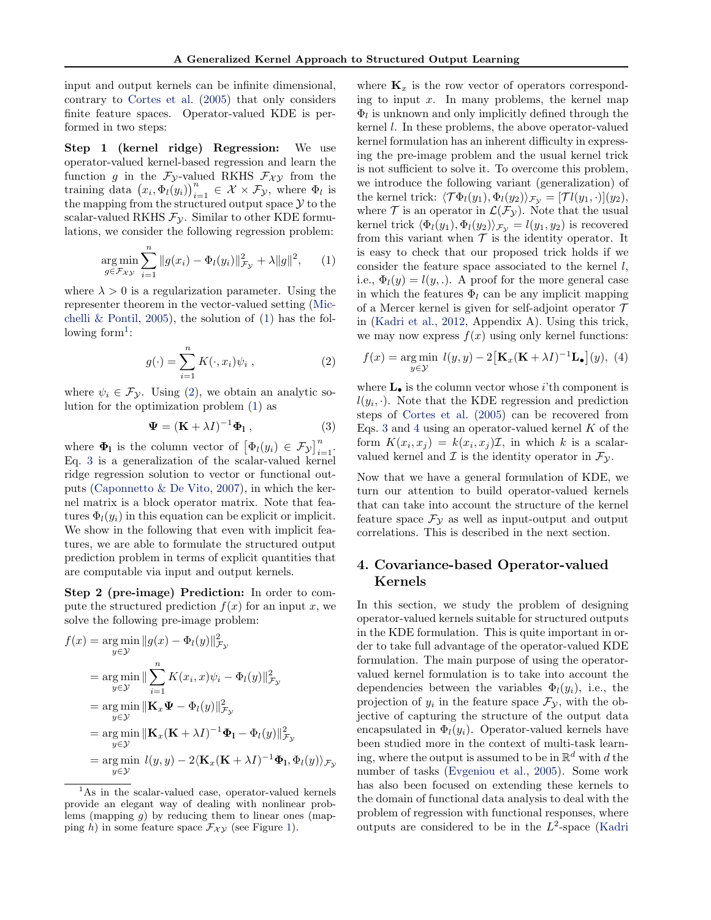<span id="page-3-0"></span>input and output kernels can be infinite dimensional, contrary to [Cortes et al.](#page-8-0) [\(2005\)](#page-8-0) that only considers finite feature spaces. Operator-valued KDE is performed in two steps:

Step 1 (kernel ridge) Regression: We use operator-valued kernel-based regression and learn the function g in the  $F_{\mathcal{Y}}$ -valued RKHS  $F_{\mathcal{X}\mathcal{Y}}$  from the training data  $(x_i, \Phi_l(y_i))_{i=1}^n \in \mathcal{X} \times \mathcal{F}_{\mathcal{Y}}$ , where  $\Phi_l$  is the mapping from the structured output space  $\mathcal Y$  to the scalar-valued RKHS  $\mathcal{F}_{\mathcal{Y}}$ . Similar to other KDE formulations, we consider the following regression problem:

$$
\underset{g \in \mathcal{F}_{\mathcal{X}\mathcal{Y}}}{\arg \min} \sum_{i=1}^{n} \|g(x_i) - \Phi_l(y_i)\|_{\mathcal{F}_{\mathcal{Y}}}^2 + \lambda \|g\|^2, \qquad (1)
$$

where  $\lambda > 0$  is a regularization parameter. Using the representer theorem in the vector-valued setting [\(Mic](#page-8-0)[chelli & Pontil,](#page-8-0) [2005\)](#page-8-0), the solution of  $(1)$  has the following form<sup>1</sup>:

$$
g(\cdot) = \sum_{i=1}^{n} K(\cdot, x_i) \psi_i , \qquad (2)
$$

where  $\psi_i \in \mathcal{F}_{\mathcal{Y}}$ . Using (2), we obtain an analytic solution for the optimization problem (1) as

$$
\Psi = (\mathbf{K} + \lambda I)^{-1} \Phi_1 , \qquad (3)
$$

where  $\Phi_1$  is the column vector of  $\left[\Phi_l(y_i) \in \mathcal{F}_{\mathcal{Y}}\right]_{i=1}^n$ . Eq. 3 is a generalization of the scalar-valued kernel ridge regression solution to vector or functional outputs [\(Caponnetto & De Vito,](#page-8-0) [2007\)](#page-8-0), in which the kernel matrix is a block operator matrix. Note that features  $\Phi_l(y_i)$  in this equation can be explicit or implicit. We show in the following that even with implicit features, we are able to formulate the structured output prediction problem in terms of explicit quantities that are computable via input and output kernels.

Step 2 (pre-image) Prediction: In order to compute the structured prediction  $f(x)$  for an input x, we solve the following pre-image problem:

$$
f(x) = \underset{y \in \mathcal{Y}}{\arg \min} \|g(x) - \Phi_l(y)\|_{\mathcal{F}_{\mathcal{Y}}}^2
$$
  
\n
$$
= \underset{y \in \mathcal{Y}}{\arg \min} \| \sum_{i=1}^n K(x_i, x) \psi_i - \Phi_l(y) \|_{\mathcal{F}_{\mathcal{Y}}}^2
$$
  
\n
$$
= \underset{y \in \mathcal{Y}}{\arg \min} \| \mathbf{K}_x \mathbf{\Psi} - \Phi_l(y) \|_{\mathcal{F}_{\mathcal{Y}}}^2
$$
  
\n
$$
= \underset{y \in \mathcal{Y}}{\arg \min} \| \mathbf{K}_x (\mathbf{K} + \lambda I)^{-1} \Phi_l - \Phi_l(y) \|_{\mathcal{F}_{\mathcal{Y}}}^2
$$
  
\n
$$
= \underset{y \in \mathcal{Y}}{\arg \min} \quad l(y, y) - 2 \langle \mathbf{K}_x (\mathbf{K} + \lambda I)^{-1} \Phi_l, \Phi_l(y) \rangle_{\mathcal{F}_{\mathcal{Y}}}^2
$$

where  $\mathbf{K}_x$  is the row vector of operators corresponding to input  $x$ . In many problems, the kernel map  $\Phi_l$  is unknown and only implicitly defined through the kernel l. In these problems, the above operator-valued kernel formulation has an inherent difficulty in expressing the pre-image problem and the usual kernel trick is not sufficient to solve it. To overcome this problem, we introduce the following variant (generalization) of the kernel trick:  $\langle \mathcal{T} \Phi_l(y_1), \Phi_l(y_2) \rangle_{\mathcal{F}_{\mathcal{Y}}} = [\mathcal{T} l(y_1, \cdot)](y_2),$ where  $\mathcal T$  is an operator in  $\mathcal L(\mathcal F_{\mathcal Y})$ . Note that the usual kernel trick  $\langle \Phi_l(y_1), \Phi_l(y_2) \rangle_{\mathcal{F}_{\mathcal{V}}} = l(y_1, y_2)$  is recovered from this variant when  $\mathcal T$  is the identity operator. It is easy to check that our proposed trick holds if we consider the feature space associated to the kernel  $l$ , i.e.,  $\Phi_l(y) = l(y,.)$ . A proof for the more general case in which the features  $\Phi_l$  can be any implicit mapping of a Mercer kernel is given for self-adjoint operator  $\mathcal T$ in [\(Kadri et al.,](#page-8-0) [2012,](#page-8-0) Appendix A). Using this trick, we may now express  $f(x)$  using only kernel functions:

$$
f(x) = \underset{y \in \mathcal{Y}}{\arg \min} \ l(y, y) - 2 \left[ \mathbf{K}_x (\mathbf{K} + \lambda I)^{-1} \mathbf{L}_\bullet \right](y), \ (4)
$$

where  $L_{\bullet}$  is the column vector whose i'th component is  $l(y_i, \cdot)$ . Note that the KDE regression and prediction steps of [Cortes et al.](#page-8-0) [\(2005\)](#page-8-0) can be recovered from Eqs. 3 and 4 using an operator-valued kernel  $K$  of the form  $K(x_i, x_j) = k(x_i, x_j)I$ , in which k is a scalarvalued kernel and  $\mathcal I$  is the identity operator in  $\mathcal F_{\mathcal Y}$ .

Now that we have a general formulation of KDE, we turn our attention to build operator-valued kernels that can take into account the structure of the kernel feature space  $\mathcal{F}_{\gamma}$  as well as input-output and output correlations. This is described in the next section.

## 4. Covariance-based Operator-valued Kernels

In this section, we study the problem of designing operator-valued kernels suitable for structured outputs in the KDE formulation. This is quite important in order to take full advantage of the operator-valued KDE formulation. The main purpose of using the operatorvalued kernel formulation is to take into account the dependencies between the variables  $\Phi_l(y_i)$ , i.e., the projection of  $y_i$  in the feature space  $\mathcal{F}_{\mathcal{Y}}$ , with the objective of capturing the structure of the output data encapsulated in  $\Phi_l(y_i)$ . Operator-valued kernels have been studied more in the context of multi-task learning, where the output is assumed to be in  $\mathbb{R}^d$  with d the number of tasks [\(Evgeniou et al.,](#page-8-0) [2005\)](#page-8-0). Some work has also been focused on extending these kernels to the domain of functional data analysis to deal with the problem of regression with functional responses, where [outputs are considered to be in the](#page-8-0)  $L^2$ -space [\(Kadri](#page-8-0)

<sup>&</sup>lt;sup>1</sup>As in the scalar-valued case, operator-valued kernels provide an elegant way of dealing with nonlinear problems (mapping g) by reducing them to linear ones (mapping h) in some feature space  $\mathcal{F}_{\mathcal{XY}}$  (see Figure [1\)](#page-2-0).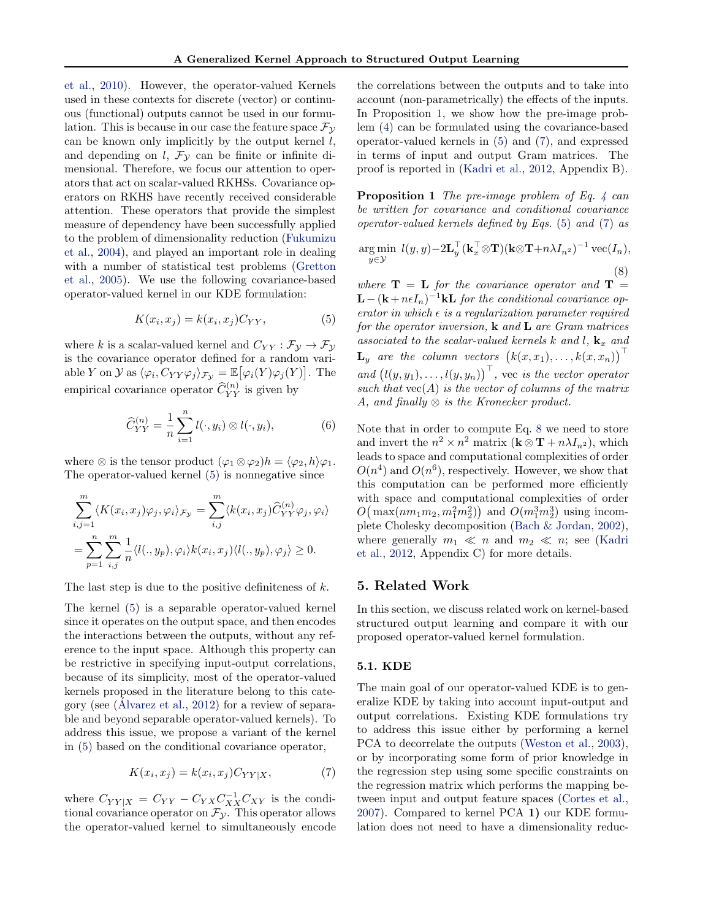[et al.,](#page-8-0) [2010\)](#page-8-0). However, the operator-valued Kernels used in these contexts for discrete (vector) or continuous (functional) outputs cannot be used in our formulation. This is because in our case the feature space  $\mathcal{F}_{\mathcal{Y}}$ can be known only implicitly by the output kernel  $l$ , and depending on l,  $\mathcal{F}_{\mathcal{V}}$  can be finite or infinite dimensional. Therefore, we focus our attention to operators that act on scalar-valued RKHSs. Covariance operators on RKHS have recently received considerable attention. These operators that provide the simplest measure of dependency have been successfully applied to the problem of dimensionality reduction [\(Fukumizu](#page-8-0) [et al.,](#page-8-0) [2004\)](#page-8-0), and played an important role in dealing with a number of statistical test problems [\(Gretton](#page-8-0) [et al.,](#page-8-0) [2005\)](#page-8-0). We use the following covariance-based operator-valued kernel in our KDE formulation:

$$
K(x_i, x_j) = k(x_i, x_j)C_{YY},\tag{5}
$$

where k is a scalar-valued kernel and  $C_{YY} : \mathcal{F}_y \to \mathcal{F}_y$ is the covariance operator defined for a random variable Y on  $\mathcal Y$  as  $\langle \varphi_i, C_{YY}\varphi_j \rangle_{\mathcal{F_Y}} = \mathbb{E}\big[\varphi_i(Y)\varphi_j(Y)\big]$ . The empirical covariance operator  $\hat{C}_{YY}^{(n)}$  is given by

$$
\widehat{C}_{YY}^{(n)} = \frac{1}{n} \sum_{i=1}^{n} l(\cdot, y_i) \otimes l(\cdot, y_i), \tag{6}
$$

where  $\otimes$  is the tensor product  $(\varphi_1 \otimes \varphi_2)h = \langle \varphi_2, h \rangle \varphi_1$ . The operator-valued kernel (5) is nonnegative since

$$
\sum_{i,j=1}^{m} \langle K(x_i, x_j) \varphi_j, \varphi_i \rangle_{\mathcal{F}_{\mathcal{Y}}} = \sum_{i,j}^{m} \langle k(x_i, x_j) \widehat{C}_{YY}^{(n)} \varphi_j, \varphi_i \rangle
$$
  
= 
$$
\sum_{p=1}^{n} \sum_{i,j}^{m} \frac{1}{n} \langle l(., y_p), \varphi_i \rangle k(x_i, x_j) \langle l(., y_p), \varphi_j \rangle \ge 0.
$$

The last step is due to the positive definiteness of  $k$ .

The kernel (5) is a separable operator-valued kernel since it operates on the output space, and then encodes the interactions between the outputs, without any reference to the input space. Although this property can be restrictive in specifying input-output correlations, because of its simplicity, most of the operator-valued kernels proposed in the literature belong to this cate-gory (see [\(Alvarez et al.](#page-8-0),  $2012$ ) for a review of separable and beyond separable operator-valued kernels). To address this issue, we propose a variant of the kernel in (5) based on the conditional covariance operator,

$$
K(x_i, x_j) = k(x_i, x_j)C_{YY|X},\tag{7}
$$

where  $C_{YY|X} = C_{YY} - C_{YX}C_{XX}^{-1}C_{XY}$  is the conditional covariance operator on  $\mathcal{F}_{\mathcal{Y}}$ . This operator allows the operator-valued kernel to simultaneously encode

the correlations between the outputs and to take into account (non-parametrically) the effects of the inputs. In Proposition 1, we show how the pre-image problem [\(4\)](#page-3-0) can be formulated using the covariance-based operator-valued kernels in (5) and (7), and expressed in terms of input and output Gram matrices. The proof is reported in [\(Kadri et al.,](#page-8-0) [2012,](#page-8-0) Appendix B).

**Proposition 1** The pre-image problem of Eq. [4](#page-3-0) can be written for covariance and conditional covariance operator-valued kernels defined by Eqs. (5) and (7) as

$$
\underset{y \in \mathcal{Y}}{\arg \min} \ l(y, y) - 2\mathbf{L}_y^\top (\mathbf{k}_x^\top \otimes \mathbf{T}) (\mathbf{k} \otimes \mathbf{T} + n\lambda I_{n^2})^{-1} \operatorname{vec}(I_n),
$$
\n(8)

where  $\mathbf{T} = \mathbf{L}$  for the covariance operator and  $\mathbf{T} =$  $\mathbf{L} - (\mathbf{k} + n\epsilon I_n)^{-1}\mathbf{k}$ **L** for the conditional covariance operator in which  $\epsilon$  is a regularization parameter required for the operator inversion,  $\bf{k}$  and  $\bf{L}$  are Gram matrices associated to the scalar-valued kernels k and l,  $\mathbf{k}_x$  and  $\mathbf{L}_y$  are the column vectors  $(k(x, x_1), \ldots, k(x, x_n))^{\top}$ and  $(l(y, y_1), \ldots, l(y, y_n))^\top$ , vec is the vector operator such that  $vec(A)$  is the vector of columns of the matrix A, and finally  $\otimes$  is the Kronecker product.

Note that in order to compute Eq. 8 we need to store and invert the  $n^2 \times n^2$  matrix  $(\mathbf{k} \otimes \mathbf{T} + n\lambda I_{n^2})$ , which leads to space and computational complexities of order  $O(n^4)$  and  $O(n^6)$ , respectively. However, we show that this computation can be performed more efficiently with space and computational complexities of order  $O(m_1am_1m_2, m_1am_2^2)$  and  $O(m_1am_2^3)$  using incomplete Cholesky decomposition [\(Bach & Jordan,](#page-8-0) [2002\)](#page-8-0), where generally  $m_1 \ll n$  and  $m_2 \ll n$ ; see [\(Kadri](#page-8-0) [et al.,](#page-8-0) [2012,](#page-8-0) Appendix C) for more details.

#### 5. Related Work

In this section, we discuss related work on kernel-based structured output learning and compare it with our proposed operator-valued kernel formulation.

#### 5.1. KDE

The main goal of our operator-valued KDE is to generalize KDE by taking into account input-output and output correlations. Existing KDE formulations try to address this issue either by performing a kernel PCA to decorrelate the outputs [\(Weston et al.,](#page-8-0) [2003\)](#page-8-0), or by incorporating some form of prior knowledge in the regression step using some specific constraints on the regression matrix which performs the mapping between input and output feature spaces [\(Cortes et al.,](#page-8-0) [2007\)](#page-8-0). Compared to kernel PCA 1) our KDE formulation does not need to have a dimensionality reduc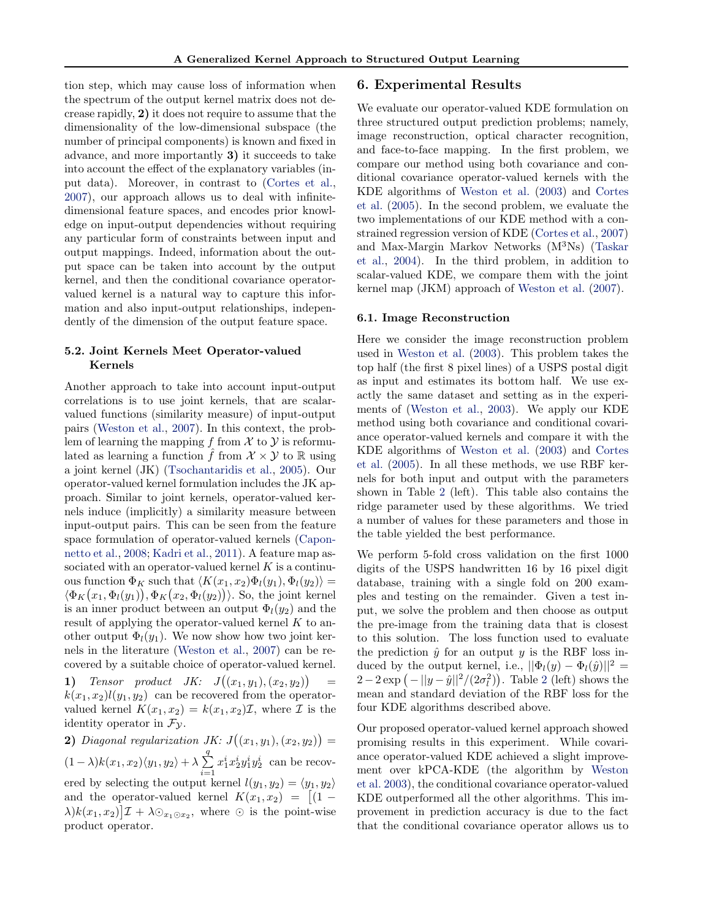<span id="page-5-0"></span>tion step, which may cause loss of information when the spectrum of the output kernel matrix does not decrease rapidly, 2) it does not require to assume that the dimensionality of the low-dimensional subspace (the number of principal components) is known and fixed in advance, and more importantly 3) it succeeds to take into account the effect of the explanatory variables (input data). Moreover, in contrast to [\(Cortes et al.,](#page-8-0) [2007\)](#page-8-0), our approach allows us to deal with infinitedimensional feature spaces, and encodes prior knowledge on input-output dependencies without requiring any particular form of constraints between input and output mappings. Indeed, information about the output space can be taken into account by the output kernel, and then the conditional covariance operatorvalued kernel is a natural way to capture this information and also input-output relationships, independently of the dimension of the output feature space.

## 5.2. Joint Kernels Meet Operator-valued Kernels

Another approach to take into account input-output correlations is to use joint kernels, that are scalarvalued functions (similarity measure) of input-output pairs [\(Weston et al.,](#page-8-0) [2007\)](#page-8-0). In this context, the problem of learning the mapping f from  $\mathcal X$  to  $\mathcal Y$  is reformulated as learning a function f from  $\mathcal{X} \times \mathcal{Y}$  to R using a joint kernel (JK) [\(Tsochantaridis et al.,](#page-8-0) [2005\)](#page-8-0). Our operator-valued kernel formulation includes the JK approach. Similar to joint kernels, operator-valued kernels induce (implicitly) a similarity measure between input-output pairs. This can be seen from the feature space formulation of operator-valued kernels [\(Capon](#page-8-0)[netto et al.,](#page-8-0) [2008;](#page-8-0) [Kadri et al.,](#page-8-0) [2011\)](#page-8-0). A feature map associated with an operator-valued kernel  $K$  is a continuous function  $\Phi_K$  such that  $\langle K(x_1, x_2) \Phi_l(y_1), \Phi_l(y_2) \rangle =$  $\langle \Phi_K(x_1, \Phi_l(y_1)), \Phi_K(x_2, \Phi_l(y_2)) \rangle$ . So, the joint kernel is an inner product between an output  $\Phi_l(y_2)$  and the result of applying the operator-valued kernel  $K$  to another output  $\Phi_l(y_1)$ . We now show how two joint kernels in the literature [\(Weston et al.,](#page-8-0) [2007\)](#page-8-0) can be recovered by a suitable choice of operator-valued kernel.

1) Tensor product JK:  $J((x_1,y_1),(x_2,y_2))$ =  $k(x_1, x_2)l(y_1, y_2)$  can be recovered from the operatorvalued kernel  $K(x_1, x_2) = k(x_1, x_2) \mathcal{I}$ , where  $\mathcal I$  is the identity operator in  $\mathcal{F}_{\nu}$ .

**2)** Diagonal regularization JK:  $J((x_1, y_1), (x_2, y_2)) =$  $(1 - \lambda)k(x_1, x_2)\langle y_1, y_2\rangle + \lambda \sum_{i=1}^{q}$  $i=1$  $x_1^ix_2^iy_1^iy_2^i$  can be recovered by selecting the output kernel  $l(y_1, y_2) = \langle y_1, y_2 \rangle$ and the operator-valued kernel  $K(x_1, x_2) = \left[ (1 \lambda$ ) $k(x_1, x_2)$ ] $\mathcal{I} + \lambda \odot_{x_1 \odot x_2}$ , where  $\odot$  is the point-wise product operator.

#### 6. Experimental Results

We evaluate our operator-valued KDE formulation on three structured output prediction problems; namely, image reconstruction, optical character recognition, and face-to-face mapping. In the first problem, we compare our method using both covariance and conditional covariance operator-valued kernels with the KDE algorithms of [Weston et al.](#page-8-0) [\(2003\)](#page-8-0) and [Cortes](#page-8-0) [et al.](#page-8-0) [\(2005\)](#page-8-0). In the second problem, we evaluate the two implementations of our KDE method with a constrained regression version of KDE [\(Cortes et al.,](#page-8-0) [2007\)](#page-8-0) and Max-Margin Markov Networks (M3Ns) [\(Taskar](#page-8-0) [et al.,](#page-8-0) [2004\)](#page-8-0). In the third problem, in addition to scalar-valued KDE, we compare them with the joint kernel map (JKM) approach of [Weston et al.](#page-8-0) [\(2007\)](#page-8-0).

#### 6.1. Image Reconstruction

Here we consider the image reconstruction problem used in [Weston et al.](#page-8-0) [\(2003\)](#page-8-0). This problem takes the top half (the first 8 pixel lines) of a USPS postal digit as input and estimates its bottom half. We use exactly the same dataset and setting as in the experiments of [\(Weston et al.,](#page-8-0) [2003\)](#page-8-0). We apply our KDE method using both covariance and conditional covariance operator-valued kernels and compare it with the KDE algorithms of [Weston et al.](#page-8-0) [\(2003\)](#page-8-0) and [Cortes](#page-8-0) [et al.](#page-8-0) [\(2005\)](#page-8-0). In all these methods, we use RBF kernels for both input and output with the parameters shown in Table [2](#page-6-0) (left). This table also contains the ridge parameter used by these algorithms. We tried a number of values for these parameters and those in the table yielded the best performance.

We perform 5-fold cross validation on the first 1000 digits of the USPS handwritten 16 by 16 pixel digit database, training with a single fold on 200 examples and testing on the remainder. Given a test input, we solve the problem and then choose as output the pre-image from the training data that is closest to this solution. The loss function used to evaluate the prediction  $\hat{y}$  for an output y is the RBF loss induced by the output kernel, i.e.,  $||\Phi_l(y) - \Phi_l(\hat{y})||^2 =$  $2-2\exp(-\frac{||y-\hat{y}||^2}{2\sigma_l^2})$  $2-2\exp(-\frac{||y-\hat{y}||^2}{2\sigma_l^2})$ . Table 2 (left) shows the mean and standard deviation of the RBF loss for the four KDE algorithms described above.

Our proposed operator-valued kernel approach showed promising results in this experiment. While covariance operator-valued KDE achieved a slight improvement over kPCA-KDE (the algorithm by [Weston](#page-8-0) [et al.](#page-8-0) [2003\)](#page-8-0), the conditional covariance operator-valued KDE outperformed all the other algorithms. This improvement in prediction accuracy is due to the fact that the conditional covariance operator allows us to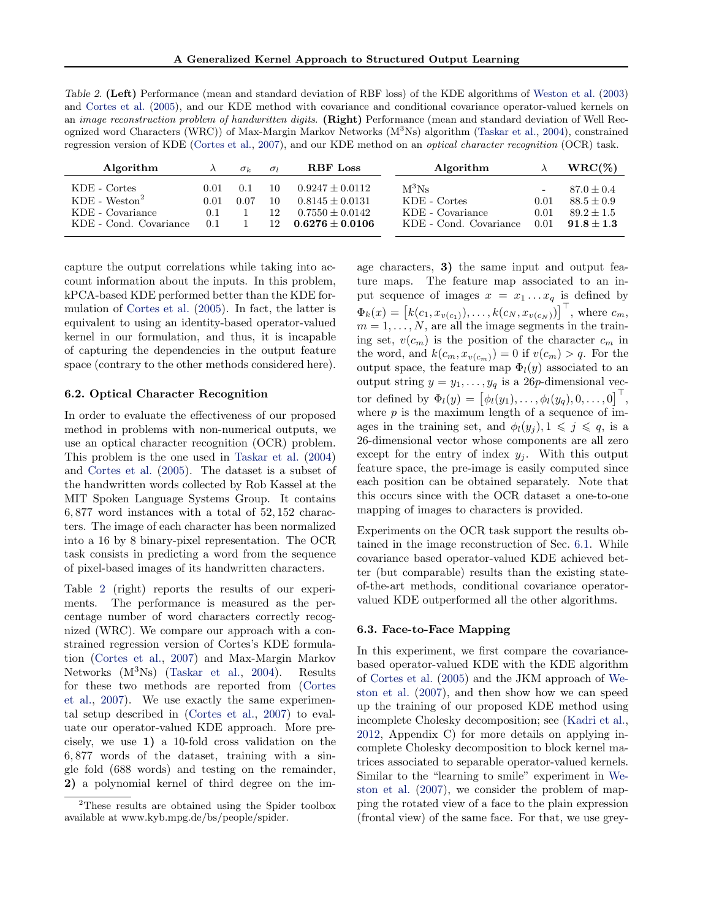<span id="page-6-0"></span>Table 2. (Left) Performance (mean and standard deviation of RBF loss) of the KDE algorithms of [Weston et al.](#page-8-0) [\(2003\)](#page-8-0) and [Cortes et al.](#page-8-0) [\(2005\)](#page-8-0), and our KDE method with covariance and conditional covariance operator-valued kernels on an *image reconstruction problem of handwritten digits.* (Right) Performance (mean and standard deviation of Well Recognized word Characters (WRC)) of Max-Margin Markov Networks  $(M^{3}Ns)$  algorithm [\(Taskar et al.,](#page-8-0) [2004\)](#page-8-0), constrained regression version of KDE [\(Cortes et al.,](#page-8-0) [2007\)](#page-8-0), and our KDE method on an optical character recognition (OCR) task.

| Algorithm                                                                     |                              | $\sigma_k$  | $\sigma$             | <b>RBF</b> Loss                                                                    | Algorithm                                                                   |                      | $WRC(\%)$                                                    |
|-------------------------------------------------------------------------------|------------------------------|-------------|----------------------|------------------------------------------------------------------------------------|-----------------------------------------------------------------------------|----------------------|--------------------------------------------------------------|
| KDE - Cortes<br>$KDE - Weston2$<br>KDE - Covariance<br>KDE - Cond. Covariance | 0.01<br>0.01<br>(0.1)<br>0.1 | 0.1<br>0.07 | 10<br>10<br>12<br>12 | $0.9247 + 0.0112$<br>$0.8145 \pm 0.0131$<br>$0.7550 + 0.0142$<br>$0.6276 + 0.0106$ | $\rm M^{3}Ns$<br>KDE - Cortes<br>KDE - Covariance<br>KDE - Cond. Covariance | 0.01<br>0.01<br>0.01 | $87.0 + 0.4$<br>$88.5 + 0.9$<br>$89.2 + 1.5$<br>$91.8 + 1.3$ |

capture the output correlations while taking into account information about the inputs. In this problem, kPCA-based KDE performed better than the KDE formulation of [Cortes et al.](#page-8-0) [\(2005\)](#page-8-0). In fact, the latter is equivalent to using an identity-based operator-valued kernel in our formulation, and thus, it is incapable of capturing the dependencies in the output feature space (contrary to the other methods considered here).

#### 6.2. Optical Character Recognition

In order to evaluate the effectiveness of our proposed method in problems with non-numerical outputs, we use an optical character recognition (OCR) problem. This problem is the one used in [Taskar et al.](#page-8-0) [\(2004\)](#page-8-0) and [Cortes et al.](#page-8-0) [\(2005\)](#page-8-0). The dataset is a subset of the handwritten words collected by Rob Kassel at the MIT Spoken Language Systems Group. It contains 6, 877 word instances with a total of 52, 152 characters. The image of each character has been normalized into a 16 by 8 binary-pixel representation. The OCR task consists in predicting a word from the sequence of pixel-based images of its handwritten characters.

Table 2 (right) reports the results of our experiments. The performance is measured as the percentage number of word characters correctly recognized (WRC). We compare our approach with a constrained regression version of Cortes's KDE formulation [\(Cortes et al.,](#page-8-0) [2007\)](#page-8-0) and Max-Margin Markov Networks (M<sup>3</sup>Ns) [\(Taskar et al.,](#page-8-0) [2004\)](#page-8-0). Results for these two methods are reported from [\(Cortes](#page-8-0) [et al.,](#page-8-0) [2007\)](#page-8-0). We use exactly the same experimental setup described in [\(Cortes et al.,](#page-8-0) [2007\)](#page-8-0) to evaluate our operator-valued KDE approach. More precisely, we use 1) a 10-fold cross validation on the 6, 877 words of the dataset, training with a single fold (688 words) and testing on the remainder, 2) a polynomial kernel of third degree on the im-

age characters, 3) the same input and output feature maps. The feature map associated to an input sequence of images  $x = x_1 \dots x_q$  is defined by  $\Phi_k(x) = [k(c_1, x_{v(c_1)}), \dots, k(c_N, x_{v(c_N)})]^\top$ , where  $c_m$ ,  $m = 1, \ldots, N$ , are all the image segments in the training set,  $v(c_m)$  is the position of the character  $c_m$  in the word, and  $k(c_m, x_{v(c_m)}) = 0$  if  $v(c_m) > q$ . For the output space, the feature map  $\Phi_l(y)$  associated to an output string  $y = y_1, \ldots, y_q$  is a 26p-dimensional vector defined by  $\Phi_l(y) = [\phi_l(y_1), \ldots, \phi_l(y_q), 0, \ldots, 0]^\top$ , where  $p$  is the maximum length of a sequence of images in the training set, and  $\phi_l(y_j), 1 \leq j \leq q$ , is a 26-dimensional vector whose components are all zero except for the entry of index  $y_i$ . With this output feature space, the pre-image is easily computed since each position can be obtained separately. Note that this occurs since with the OCR dataset a one-to-one mapping of images to characters is provided.

Experiments on the OCR task support the results obtained in the image reconstruction of Sec. [6.1.](#page-5-0) While covariance based operator-valued KDE achieved better (but comparable) results than the existing stateof-the-art methods, conditional covariance operatorvalued KDE outperformed all the other algorithms.

#### 6.3. Face-to-Face Mapping

In this experiment, we first compare the covariancebased operator-valued KDE with the KDE algorithm of [Cortes et al.](#page-8-0) [\(2005\)](#page-8-0) and the JKM approach of [We](#page-8-0)[ston et al.](#page-8-0) [\(2007\)](#page-8-0), and then show how we can speed up the training of our proposed KDE method using incomplete Cholesky decomposition; see [\(Kadri et al.,](#page-8-0) [2012,](#page-8-0) Appendix C) for more details on applying incomplete Cholesky decomposition to block kernel matrices associated to separable operator-valued kernels. Similar to the "learning to smile" experiment in [We](#page-8-0)[ston et al.](#page-8-0) [\(2007\)](#page-8-0), we consider the problem of mapping the rotated view of a face to the plain expression (frontal view) of the same face. For that, we use grey-

<sup>2</sup>These results are obtained using the Spider toolbox available at www.kyb.mpg.de/bs/people/spider.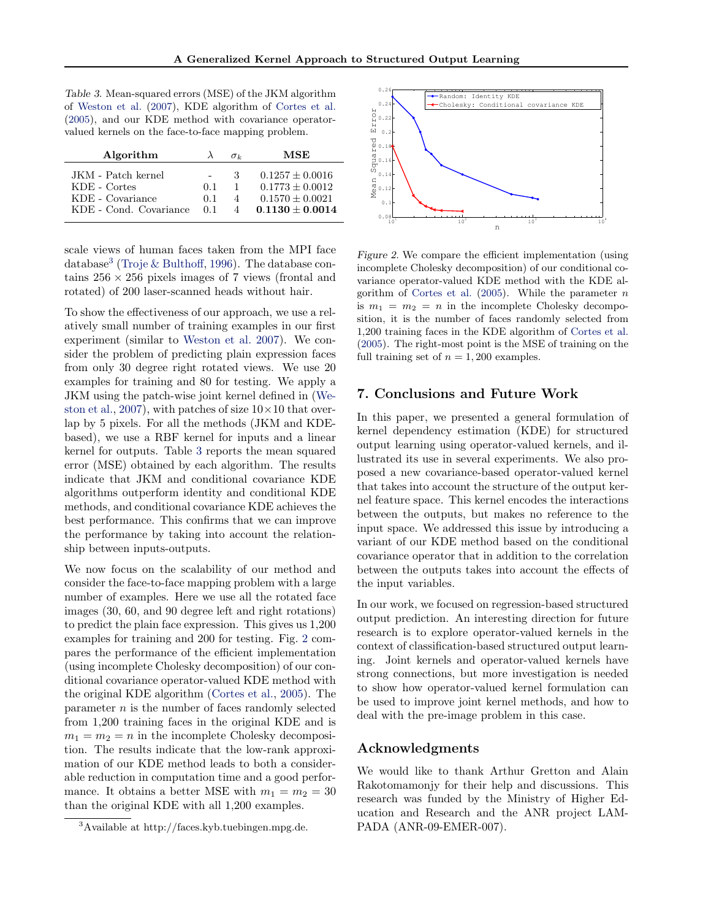Table 3. Mean-squared errors (MSE) of the JKM algorithm of [Weston et al.](#page-8-0) [\(2007\)](#page-8-0), KDE algorithm of [Cortes et al.](#page-8-0) [\(2005\)](#page-8-0), and our KDE method with covariance operatorvalued kernels on the face-to-face mapping problem.

| Algorithm              | $\lambda$ | $\sigma$ | MSE               |
|------------------------|-----------|----------|-------------------|
| JKM - Patch kernel     |           | З.       | $0.1257 + 0.0016$ |
| KDE - Cortes           | 0.1       | 1        | $0.1773 + 0.0012$ |
| KDE - Covariance       | 0.1       | 4        | $0.1570 + 0.0021$ |
| KDE - Cond. Covariance | 01        | $\Delta$ | $0.1130 + 0.0014$ |

scale views of human faces taken from the MPI face database<sup>3</sup> [\(Troje & Bulthoff,](#page-8-0) [1996\)](#page-8-0). The database contains  $256 \times 256$  pixels images of 7 views (frontal and rotated) of 200 laser-scanned heads without hair.

To show the effectiveness of our approach, we use a relatively small number of training examples in our first experiment (similar to [Weston et al.](#page-8-0) [2007\)](#page-8-0). We consider the problem of predicting plain expression faces from only 30 degree right rotated views. We use 20 examples for training and 80 for testing. We apply a JKM using the patch-wise joint kernel defined in [\(We](#page-8-0)[ston et al.,](#page-8-0) [2007\)](#page-8-0), with patches of size  $10 \times 10$  that overlap by 5 pixels. For all the methods (JKM and KDEbased), we use a RBF kernel for inputs and a linear kernel for outputs. Table 3 reports the mean squared error (MSE) obtained by each algorithm. The results indicate that JKM and conditional covariance KDE algorithms outperform identity and conditional KDE methods, and conditional covariance KDE achieves the best performance. This confirms that we can improve the performance by taking into account the relationship between inputs-outputs.

We now focus on the scalability of our method and consider the face-to-face mapping problem with a large number of examples. Here we use all the rotated face images (30, 60, and 90 degree left and right rotations) to predict the plain face expression. This gives us 1,200 examples for training and 200 for testing. Fig. 2 compares the performance of the efficient implementation (using incomplete Cholesky decomposition) of our conditional covariance operator-valued KDE method with the original KDE algorithm [\(Cortes et al.,](#page-8-0) [2005\)](#page-8-0). The parameter  $n$  is the number of faces randomly selected from 1,200 training faces in the original KDE and is  $m_1 = m_2 = n$  in the incomplete Cholesky decomposition. The results indicate that the low-rank approximation of our KDE method leads to both a considerable reduction in computation time and a good performance. It obtains a better MSE with  $m_1 = m_2 = 30$ than the original KDE with all 1,200 examples.



Figure 2. We compare the efficient implementation (using incomplete Cholesky decomposition) of our conditional covariance operator-valued KDE method with the KDE al-gorithm of [Cortes et al.](#page-8-0)  $(2005)$ . While the parameter n is  $m_1 = m_2 = n$  in the incomplete Cholesky decomposition, it is the number of faces randomly selected from 1,200 training faces in the KDE algorithm of [Cortes et al.](#page-8-0) [\(2005\)](#page-8-0). The right-most point is the MSE of training on the full training set of  $n = 1,200$  examples.

#### 7. Conclusions and Future Work

In this paper, we presented a general formulation of kernel dependency estimation (KDE) for structured output learning using operator-valued kernels, and illustrated its use in several experiments. We also proposed a new covariance-based operator-valued kernel that takes into account the structure of the output kernel feature space. This kernel encodes the interactions between the outputs, but makes no reference to the input space. We addressed this issue by introducing a variant of our KDE method based on the conditional covariance operator that in addition to the correlation between the outputs takes into account the effects of the input variables.

In our work, we focused on regression-based structured output prediction. An interesting direction for future research is to explore operator-valued kernels in the context of classification-based structured output learning. Joint kernels and operator-valued kernels have strong connections, but more investigation is needed to show how operator-valued kernel formulation can be used to improve joint kernel methods, and how to deal with the pre-image problem in this case.

## Acknowledgments

We would like to thank Arthur Gretton and Alain Rakotomamonjy for their help and discussions. This research was funded by the Ministry of Higher Education and Research and the ANR project LAM-PADA (ANR-09-EMER-007).

<sup>3</sup>Available at http://faces.kyb.tuebingen.mpg.de.